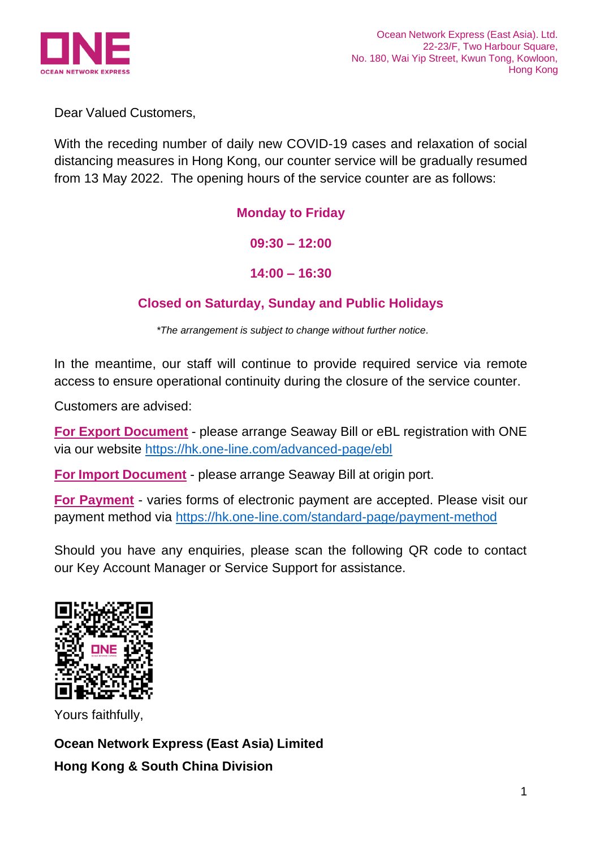

Dear Valued Customers,

With the receding number of daily new COVID-19 cases and relaxation of social distancing measures in Hong Kong, our counter service will be gradually resumed from 13 May 2022. The opening hours of the service counter are as follows:

## **Monday to Friday**

**09:30 – 12:00**

**14:00 – 16:30**

## **Closed on Saturday, Sunday and Public Holidays**

*\*The arrangement is subject to change without further notice.*

In the meantime, our staff will continue to provide required service via remote access to ensure operational continuity during the closure of the service counter.

Customers are advised:

**For Export Document** - please arrange Seaway Bill or eBL registration with ONE via our website<https://hk.one-line.com/advanced-page/ebl>

**For Import Document** - please arrange Seaway Bill at origin port.

**For Payment** - varies forms of electronic payment are accepted. Please visit our payment method via<https://hk.one-line.com/standard-page/payment-method>

Should you have any enquiries, please scan the following QR code to contact our Key Account Manager or Service Support for assistance.



Yours faithfully,

**Ocean Network Express (East Asia) Limited Hong Kong & South China Division**